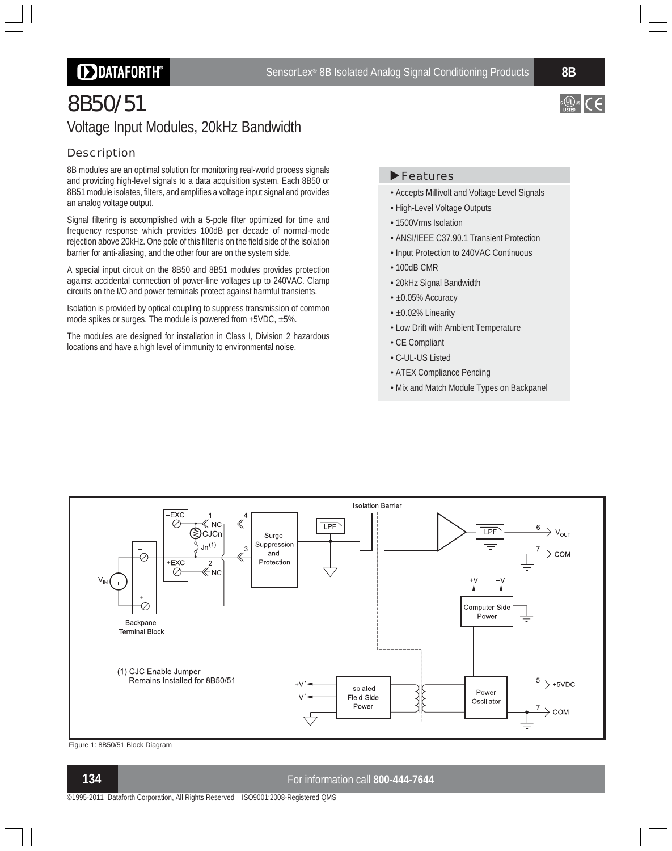## **DDATAFORTH®**

 $c \bigcirc \hspace{-0.2em} \bigcirc \hspace{-0.2em} \bigcirc \hspace{-0.2em} \bigcirc \hspace{-0.2em} \bigcirc \hspace{-0.2em} \bigcirc \hspace{-0.2em} \bigcirc \hspace{-0.2em} \bigcirc \hspace{-0.2em} \bigcirc$ 

# 8B50/51 Voltage Input Modules, 20kHz Bandwidth

### **Description**

8B modules are an optimal solution for monitoring real-world process signals and providing high-level signals to a data acquisition system. Each 8B50 or 8B51 module isolates, filters, and amplifies a voltage input signal and provides an analog voltage output.

Signal filtering is accomplished with a 5-pole filter optimized for time and frequency response which provides 100dB per decade of normal-mode rejection above 20kHz. One pole of this filter is on the field side of the isolation barrier for anti-aliasing, and the other four are on the system side.

A special input circuit on the 8B50 and 8B51 modules provides protection against accidental connection of power-line voltages up to 240VAC. Clamp circuits on the I/O and power terminals protect against harmful transients.

Isolation is provided by optical coupling to suppress transmission of common mode spikes or surges. The module is powered from +5VDC, ±5%.

The modules are designed for installation in Class I, Division 2 hazardous locations and have a high level of immunity to environmental noise.

#### ▶ Features

- Accepts Millivolt and Voltage Level Signals
- High-Level Voltage Outputs
- 1500Vrms Isolation
- ANSI/IEEE C37.90.1 Transient Protection
- Input Protection to 240VAC Continuous
- $\cdot$  100dB CMR
- 20kHz Signal Bandwidth
- ±0.05% Accuracy
- ±0.02% Linearity
- Low Drift with Ambient Temperature
- CE Compliant
- C-UL-US Listed
- ATEX Compliance Pending
- Mix and Match Module Types on Backpanel



Figure 1: 8B50/51 Block Diagram

#### **134** For information call **800-444-7644**